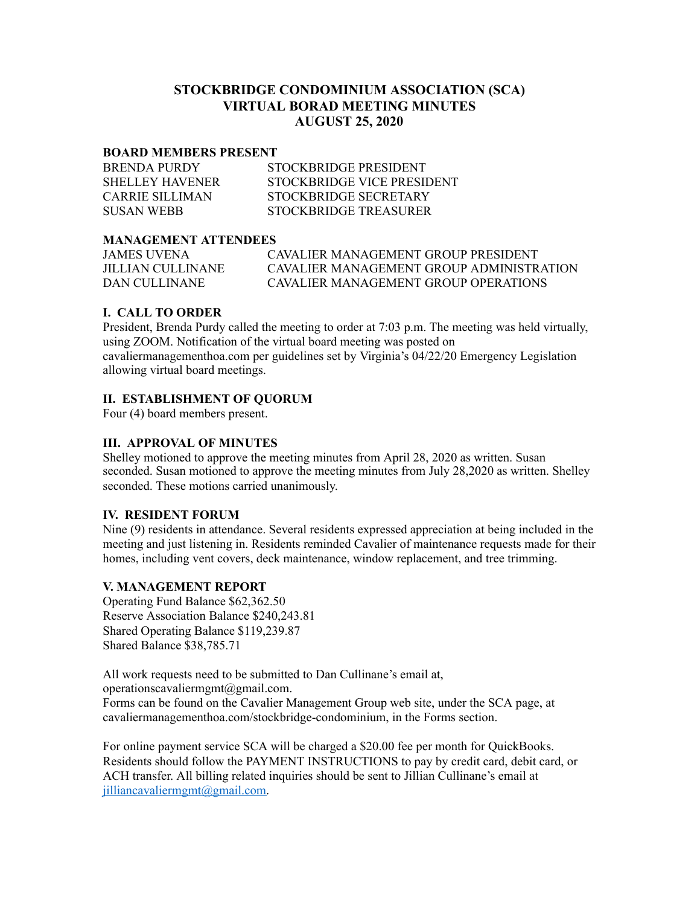# **STOCKBRIDGE CONDOMINIUM ASSOCIATION (SCA) VIRTUAL BORAD MEETING MINUTES AUGUST 25, 2020**

#### **BOARD MEMBERS PRESENT**

| <b>BRENDA PURDY</b>    | STOCKBRIDGE PRESIDENT      |
|------------------------|----------------------------|
| <b>SHELLEY HAVENER</b> | STOCKBRIDGE VICE PRESIDENT |
| CARRIE SILLIMAN        | STOCKBRIDGE SECRETARY      |
| <b>SUSAN WEBB</b>      | STOCKBRIDGE TREASURER      |

## **MANAGEMENT ATTENDEES**

| <b>JAMES UVENA</b> | CAVALIER MANAGEMENT GROUP PRESIDENT      |
|--------------------|------------------------------------------|
| JILLIAN CULLINANE  | CAVALIER MANAGEMENT GROUP ADMINISTRATION |
| DAN CULLINANE      | CAVALIER MANAGEMENT GROUP OPER ATIONS    |

## **I. CALL TO ORDER**

President, Brenda Purdy called the meeting to order at 7:03 p.m. The meeting was held virtually, using ZOOM. Notification of the virtual board meeting was posted on cavaliermanagementhoa.com per guidelines set by Virginia's 04/22/20 Emergency Legislation allowing virtual board meetings.

## **II. ESTABLISHMENT OF QUORUM**

Four (4) board members present.

## **III. APPROVAL OF MINUTES**

Shelley motioned to approve the meeting minutes from April 28, 2020 as written. Susan seconded. Susan motioned to approve the meeting minutes from July 28,2020 as written. Shelley seconded. These motions carried unanimously.

### **IV. RESIDENT FORUM**

Nine (9) residents in attendance. Several residents expressed appreciation at being included in the meeting and just listening in. Residents reminded Cavalier of maintenance requests made for their homes, including vent covers, deck maintenance, window replacement, and tree trimming.

### **V. MANAGEMENT REPORT**

Operating Fund Balance \$62,362.50 Reserve Association Balance \$240,243.81 Shared Operating Balance \$119,239.87 Shared Balance \$38,785.71

All work requests need to be submitted to Dan Cullinane's email at, operationscavaliermgmt@gmail.com. Forms can be found on the Cavalier Management Group web site, under the SCA page, at cavaliermanagementhoa.com/stockbridge-condominium, in the Forms section.

For online payment service SCA will be charged a \$20.00 fee per month for QuickBooks. Residents should follow the PAYMENT INSTRUCTIONS to pay by credit card, debit card, or ACH transfer. All billing related inquiries should be sent to Jillian Cullinane's email at [jilliancavaliermgmt@gmail.com.](mailto:jilliancavaliermgmt@gmail.com)